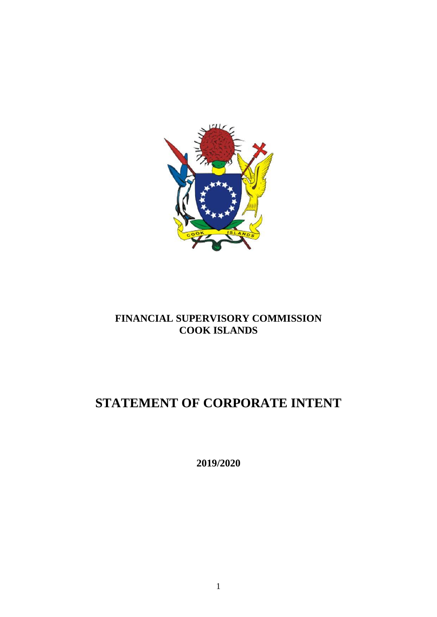

# **FINANCIAL SUPERVISORY COMMISSION COOK ISLANDS**

# **STATEMENT OF CORPORATE INTENT**

**2019/2020**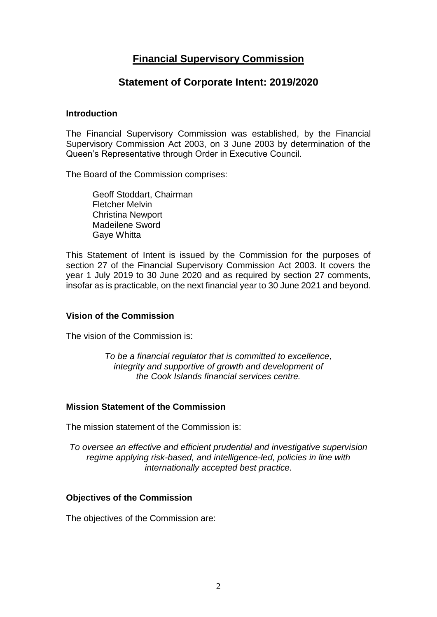# **Financial Supervisory Commission**

# **Statement of Corporate Intent: 2019/2020**

#### **Introduction**

The Financial Supervisory Commission was established, by the Financial Supervisory Commission Act 2003, on 3 June 2003 by determination of the Queen's Representative through Order in Executive Council.

The Board of the Commission comprises:

Geoff Stoddart, Chairman Fletcher Melvin Christina Newport Madeilene Sword Gaye Whitta

This Statement of Intent is issued by the Commission for the purposes of section 27 of the Financial Supervisory Commission Act 2003. It covers the year 1 July 2019 to 30 June 2020 and as required by section 27 comments, insofar as is practicable, on the next financial year to 30 June 2021 and beyond.

#### **Vision of the Commission**

The vision of the Commission is:

*To be a financial regulator that is committed to excellence, integrity and supportive of growth and development of the Cook Islands financial services centre.*

#### **Mission Statement of the Commission**

The mission statement of the Commission is:

*To oversee an effective and efficient prudential and investigative supervision regime applying risk-based, and intelligence-led, policies in line with internationally accepted best practice.*

#### **Objectives of the Commission**

The objectives of the Commission are: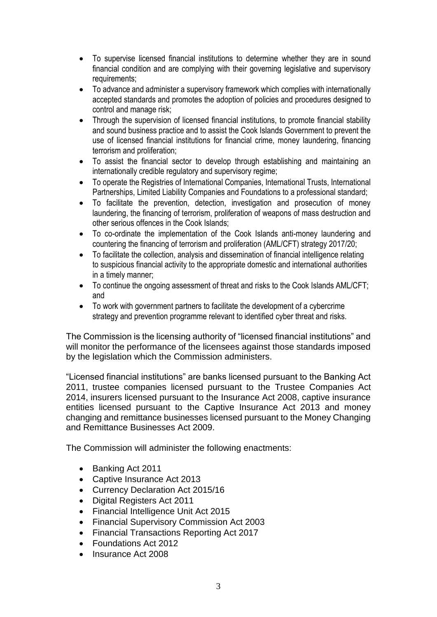- To supervise licensed financial institutions to determine whether they are in sound financial condition and are complying with their governing legislative and supervisory requirements;
- To advance and administer a supervisory framework which complies with internationally accepted standards and promotes the adoption of policies and procedures designed to control and manage risk;
- Through the supervision of licensed financial institutions, to promote financial stability and sound business practice and to assist the Cook Islands Government to prevent the use of licensed financial institutions for financial crime, money laundering, financing terrorism and proliferation;
- To assist the financial sector to develop through establishing and maintaining an internationally credible regulatory and supervisory regime;
- To operate the Registries of International Companies, International Trusts, International Partnerships, Limited Liability Companies and Foundations to a professional standard;
- To facilitate the prevention, detection, investigation and prosecution of money laundering, the financing of terrorism, proliferation of weapons of mass destruction and other serious offences in the Cook Islands;
- To co-ordinate the implementation of the Cook Islands anti-money laundering and countering the financing of terrorism and proliferation (AML/CFT) strategy 2017/20;
- To facilitate the collection, analysis and dissemination of financial intelligence relating to suspicious financial activity to the appropriate domestic and international authorities in a timely manner;
- To continue the ongoing assessment of threat and risks to the Cook Islands AML/CFT; and
- To work with government partners to facilitate the development of a cybercrime strategy and prevention programme relevant to identified cyber threat and risks.

The Commission is the licensing authority of "licensed financial institutions" and will monitor the performance of the licensees against those standards imposed by the legislation which the Commission administers.

"Licensed financial institutions" are banks licensed pursuant to the Banking Act 2011, trustee companies licensed pursuant to the Trustee Companies Act 2014, insurers licensed pursuant to the Insurance Act 2008, captive insurance entities licensed pursuant to the Captive Insurance Act 2013 and money changing and remittance businesses licensed pursuant to the Money Changing and Remittance Businesses Act 2009.

The Commission will administer the following enactments:

- Banking Act 2011
- Captive Insurance Act 2013
- Currency Declaration Act 2015/16
- Digital Registers Act 2011
- Financial Intelligence Unit Act 2015
- Financial Supervisory Commission Act 2003
- Financial Transactions Reporting Act 2017
- Foundations Act 2012
- Insurance Act 2008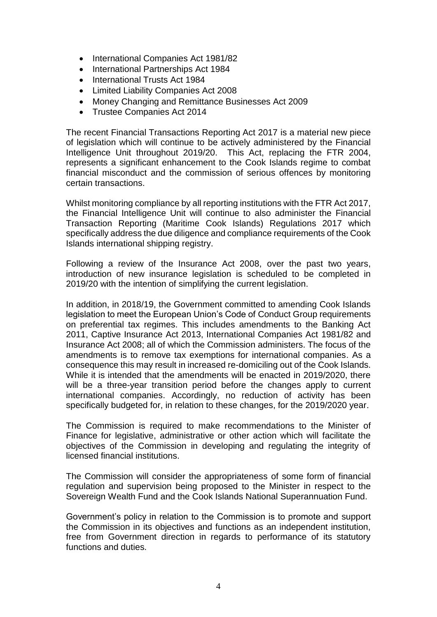- International Companies Act 1981/82
- International Partnerships Act 1984
- International Trusts Act 1984
- Limited Liability Companies Act 2008
- Money Changing and Remittance Businesses Act 2009
- Trustee Companies Act 2014

The recent Financial Transactions Reporting Act 2017 is a material new piece of legislation which will continue to be actively administered by the Financial Intelligence Unit throughout 2019/20. This Act, replacing the FTR 2004, represents a significant enhancement to the Cook Islands regime to combat financial misconduct and the commission of serious offences by monitoring certain transactions.

Whilst monitoring compliance by all reporting institutions with the FTR Act 2017, the Financial Intelligence Unit will continue to also administer the Financial Transaction Reporting (Maritime Cook Islands) Regulations 2017 which specifically address the due diligence and compliance requirements of the Cook Islands international shipping registry.

Following a review of the Insurance Act 2008, over the past two years, introduction of new insurance legislation is scheduled to be completed in 2019/20 with the intention of simplifying the current legislation.

In addition, in 2018/19, the Government committed to amending Cook Islands legislation to meet the European Union's Code of Conduct Group requirements on preferential tax regimes. This includes amendments to the Banking Act 2011, Captive Insurance Act 2013, International Companies Act 1981/82 and Insurance Act 2008; all of which the Commission administers. The focus of the amendments is to remove tax exemptions for international companies. As a consequence this may result in increased re-domiciling out of the Cook Islands. While it is intended that the amendments will be enacted in 2019/2020, there will be a three-year transition period before the changes apply to current international companies. Accordingly, no reduction of activity has been specifically budgeted for, in relation to these changes, for the 2019/2020 year.

The Commission is required to make recommendations to the Minister of Finance for legislative, administrative or other action which will facilitate the objectives of the Commission in developing and regulating the integrity of licensed financial institutions.

The Commission will consider the appropriateness of some form of financial regulation and supervision being proposed to the Minister in respect to the Sovereign Wealth Fund and the Cook Islands National Superannuation Fund.

Government's policy in relation to the Commission is to promote and support the Commission in its objectives and functions as an independent institution, free from Government direction in regards to performance of its statutory functions and duties.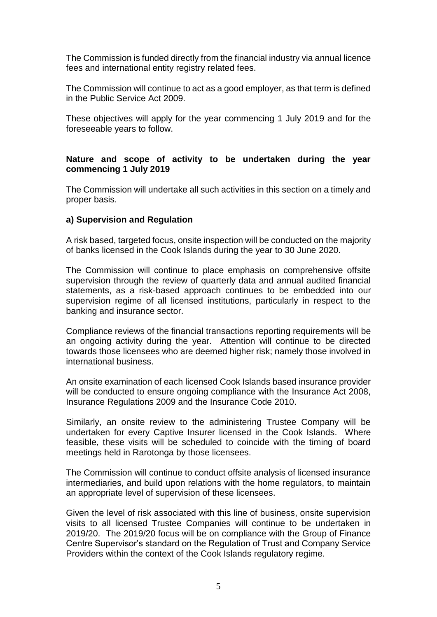The Commission is funded directly from the financial industry via annual licence fees and international entity registry related fees.

The Commission will continue to act as a good employer, as that term is defined in the Public Service Act 2009.

These objectives will apply for the year commencing 1 July 2019 and for the foreseeable years to follow.

## **Nature and scope of activity to be undertaken during the year commencing 1 July 2019**

The Commission will undertake all such activities in this section on a timely and proper basis.

#### **a) Supervision and Regulation**

A risk based, targeted focus, onsite inspection will be conducted on the majority of banks licensed in the Cook Islands during the year to 30 June 2020.

The Commission will continue to place emphasis on comprehensive offsite supervision through the review of quarterly data and annual audited financial statements, as a risk-based approach continues to be embedded into our supervision regime of all licensed institutions, particularly in respect to the banking and insurance sector.

Compliance reviews of the financial transactions reporting requirements will be an ongoing activity during the year. Attention will continue to be directed towards those licensees who are deemed higher risk; namely those involved in international business.

An onsite examination of each licensed Cook Islands based insurance provider will be conducted to ensure ongoing compliance with the Insurance Act 2008, Insurance Regulations 2009 and the Insurance Code 2010.

Similarly, an onsite review to the administering Trustee Company will be undertaken for every Captive Insurer licensed in the Cook Islands. Where feasible, these visits will be scheduled to coincide with the timing of board meetings held in Rarotonga by those licensees.

The Commission will continue to conduct offsite analysis of licensed insurance intermediaries, and build upon relations with the home regulators, to maintain an appropriate level of supervision of these licensees.

Given the level of risk associated with this line of business, onsite supervision visits to all licensed Trustee Companies will continue to be undertaken in 2019/20. The 2019/20 focus will be on compliance with the Group of Finance Centre Supervisor's standard on the Regulation of Trust and Company Service Providers within the context of the Cook Islands regulatory regime.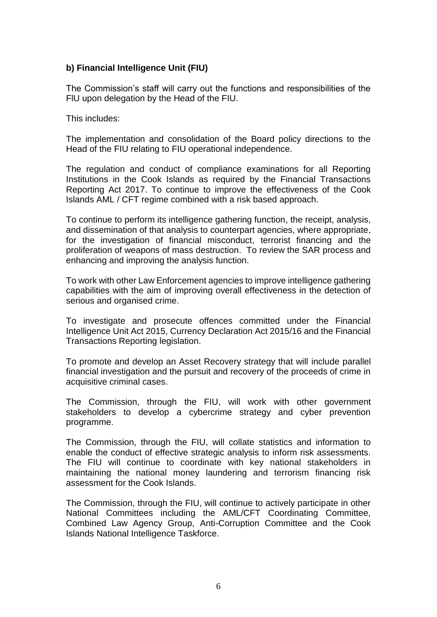# **b) Financial Intelligence Unit (FIU)**

The Commission's staff will carry out the functions and responsibilities of the FlU upon delegation by the Head of the FIU.

This includes:

The implementation and consolidation of the Board policy directions to the Head of the FIU relating to FIU operational independence.

The regulation and conduct of compliance examinations for all Reporting Institutions in the Cook Islands as required by the Financial Transactions Reporting Act 2017. To continue to improve the effectiveness of the Cook Islands AML / CFT regime combined with a risk based approach.

To continue to perform its intelligence gathering function, the receipt, analysis, and dissemination of that analysis to counterpart agencies, where appropriate, for the investigation of financial misconduct, terrorist financing and the proliferation of weapons of mass destruction. To review the SAR process and enhancing and improving the analysis function.

To work with other Law Enforcement agencies to improve intelligence gathering capabilities with the aim of improving overall effectiveness in the detection of serious and organised crime.

To investigate and prosecute offences committed under the Financial Intelligence Unit Act 2015, Currency Declaration Act 2015/16 and the Financial Transactions Reporting legislation.

To promote and develop an Asset Recovery strategy that will include parallel financial investigation and the pursuit and recovery of the proceeds of crime in acquisitive criminal cases.

The Commission, through the FIU, will work with other government stakeholders to develop a cybercrime strategy and cyber prevention programme.

The Commission, through the FIU, will collate statistics and information to enable the conduct of effective strategic analysis to inform risk assessments. The FIU will continue to coordinate with key national stakeholders in maintaining the national money laundering and terrorism financing risk assessment for the Cook Islands.

The Commission, through the FIU, will continue to actively participate in other National Committees including the AML/CFT Coordinating Committee, Combined Law Agency Group, Anti-Corruption Committee and the Cook Islands National Intelligence Taskforce.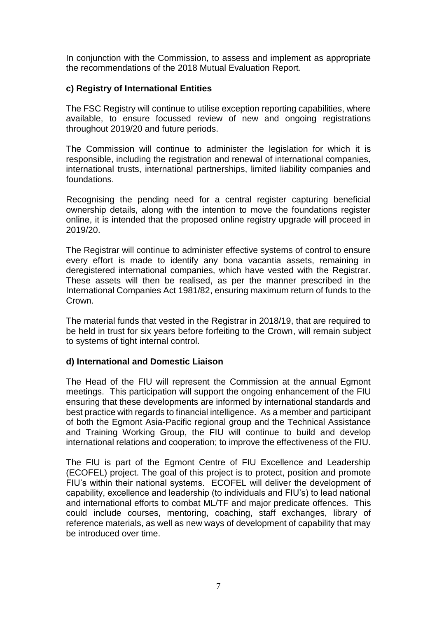In conjunction with the Commission, to assess and implement as appropriate the recommendations of the 2018 Mutual Evaluation Report.

# **c) Registry of International Entities**

The FSC Registry will continue to utilise exception reporting capabilities, where available, to ensure focussed review of new and ongoing registrations throughout 2019/20 and future periods.

The Commission will continue to administer the legislation for which it is responsible, including the registration and renewal of international companies, international trusts, international partnerships, limited liability companies and foundations.

Recognising the pending need for a central register capturing beneficial ownership details, along with the intention to move the foundations register online, it is intended that the proposed online registry upgrade will proceed in 2019/20.

The Registrar will continue to administer effective systems of control to ensure every effort is made to identify any bona vacantia assets, remaining in deregistered international companies, which have vested with the Registrar. These assets will then be realised, as per the manner prescribed in the International Companies Act 1981/82, ensuring maximum return of funds to the Crown.

The material funds that vested in the Registrar in 2018/19, that are required to be held in trust for six years before forfeiting to the Crown, will remain subject to systems of tight internal control.

#### **d) International and Domestic Liaison**

The Head of the FIU will represent the Commission at the annual Egmont meetings. This participation will support the ongoing enhancement of the FIU ensuring that these developments are informed by international standards and best practice with regards to financial intelligence. As a member and participant of both the Egmont Asia-Pacific regional group and the Technical Assistance and Training Working Group, the FIU will continue to build and develop international relations and cooperation; to improve the effectiveness of the FIU.

The FIU is part of the Egmont Centre of FIU Excellence and Leadership (ECOFEL) project. The goal of this project is to protect, position and promote FIU's within their national systems. ECOFEL will deliver the development of capability, excellence and leadership (to individuals and FIU's) to lead national and international efforts to combat ML/TF and major predicate offences. This could include courses, mentoring, coaching, staff exchanges, library of reference materials, as well as new ways of development of capability that may be introduced over time.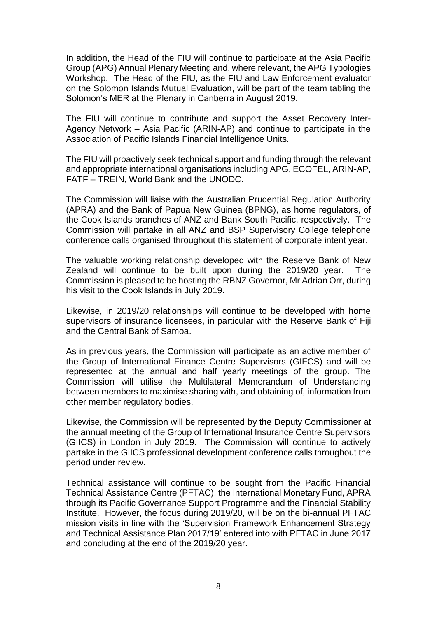In addition, the Head of the FIU will continue to participate at the Asia Pacific Group (APG) Annual Plenary Meeting and, where relevant, the APG Typologies Workshop. The Head of the FIU, as the FIU and Law Enforcement evaluator on the Solomon Islands Mutual Evaluation, will be part of the team tabling the Solomon's MER at the Plenary in Canberra in August 2019.

The FIU will continue to contribute and support the Asset Recovery Inter-Agency Network – Asia Pacific (ARIN-AP) and continue to participate in the Association of Pacific Islands Financial Intelligence Units.

The FIU will proactively seek technical support and funding through the relevant and appropriate international organisations including APG, ECOFEL, ARIN-AP, FATF – TREIN, World Bank and the UNODC.

The Commission will liaise with the Australian Prudential Regulation Authority (APRA) and the Bank of Papua New Guinea (BPNG), as home regulators, of the Cook Islands branches of ANZ and Bank South Pacific, respectively. The Commission will partake in all ANZ and BSP Supervisory College telephone conference calls organised throughout this statement of corporate intent year.

The valuable working relationship developed with the Reserve Bank of New Zealand will continue to be built upon during the 2019/20 year. The Commission is pleased to be hosting the RBNZ Governor, Mr Adrian Orr, during his visit to the Cook Islands in July 2019.

Likewise, in 2019/20 relationships will continue to be developed with home supervisors of insurance licensees, in particular with the Reserve Bank of Fiji and the Central Bank of Samoa.

As in previous years, the Commission will participate as an active member of the Group of International Finance Centre Supervisors (GIFCS) and will be represented at the annual and half yearly meetings of the group. The Commission will utilise the Multilateral Memorandum of Understanding between members to maximise sharing with, and obtaining of, information from other member regulatory bodies.

Likewise, the Commission will be represented by the Deputy Commissioner at the annual meeting of the Group of International Insurance Centre Supervisors (GIICS) in London in July 2019. The Commission will continue to actively partake in the GIICS professional development conference calls throughout the period under review.

Technical assistance will continue to be sought from the Pacific Financial Technical Assistance Centre (PFTAC), the International Monetary Fund, APRA through its Pacific Governance Support Programme and the Financial Stability Institute. However, the focus during 2019/20, will be on the bi-annual PFTAC mission visits in line with the 'Supervision Framework Enhancement Strategy and Technical Assistance Plan 2017/19' entered into with PFTAC in June 2017 and concluding at the end of the 2019/20 year.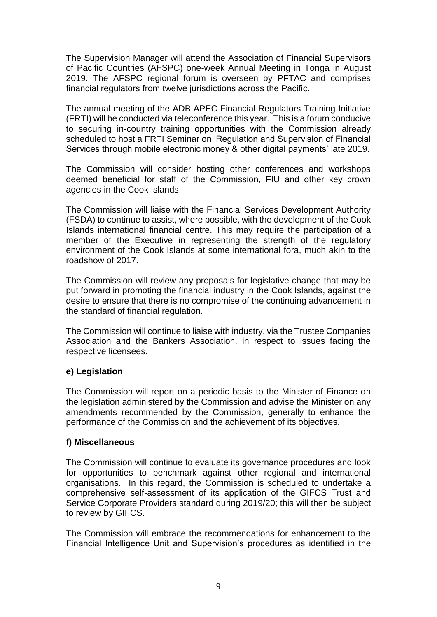The Supervision Manager will attend the Association of Financial Supervisors of Pacific Countries (AFSPC) one-week Annual Meeting in Tonga in August 2019. The AFSPC regional forum is overseen by PFTAC and comprises financial regulators from twelve jurisdictions across the Pacific.

The annual meeting of the ADB APEC Financial Regulators Training Initiative (FRTI) will be conducted via teleconference this year. This is a forum conducive to securing in-country training opportunities with the Commission already scheduled to host a FRTI Seminar on 'Regulation and Supervision of Financial Services through mobile electronic money & other digital payments' late 2019.

The Commission will consider hosting other conferences and workshops deemed beneficial for staff of the Commission, FIU and other key crown agencies in the Cook Islands.

The Commission will liaise with the Financial Services Development Authority (FSDA) to continue to assist, where possible, with the development of the Cook Islands international financial centre. This may require the participation of a member of the Executive in representing the strength of the regulatory environment of the Cook Islands at some international fora, much akin to the roadshow of 2017.

The Commission will review any proposals for legislative change that may be put forward in promoting the financial industry in the Cook Islands, against the desire to ensure that there is no compromise of the continuing advancement in the standard of financial regulation.

The Commission will continue to liaise with industry, via the Trustee Companies Association and the Bankers Association, in respect to issues facing the respective licensees.

#### **e) Legislation**

The Commission will report on a periodic basis to the Minister of Finance on the legislation administered by the Commission and advise the Minister on any amendments recommended by the Commission, generally to enhance the performance of the Commission and the achievement of its objectives.

#### **f) Miscellaneous**

The Commission will continue to evaluate its governance procedures and look for opportunities to benchmark against other regional and international organisations. In this regard, the Commission is scheduled to undertake a comprehensive self-assessment of its application of the GIFCS Trust and Service Corporate Providers standard during 2019/20; this will then be subject to review by GIFCS.

The Commission will embrace the recommendations for enhancement to the Financial Intelligence Unit and Supervision's procedures as identified in the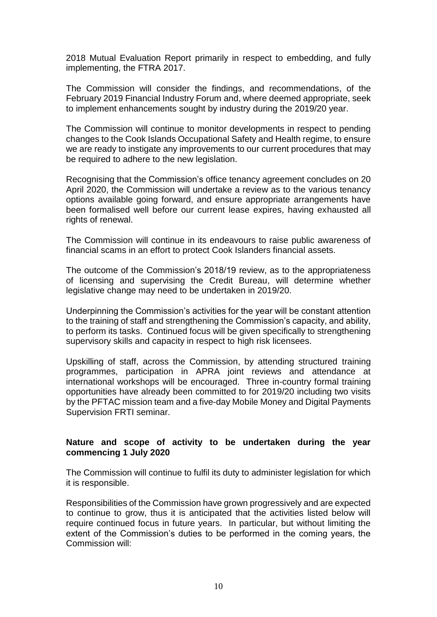2018 Mutual Evaluation Report primarily in respect to embedding, and fully implementing, the FTRA 2017.

The Commission will consider the findings, and recommendations, of the February 2019 Financial Industry Forum and, where deemed appropriate, seek to implement enhancements sought by industry during the 2019/20 year.

The Commission will continue to monitor developments in respect to pending changes to the Cook Islands Occupational Safety and Health regime, to ensure we are ready to instigate any improvements to our current procedures that may be required to adhere to the new legislation.

Recognising that the Commission's office tenancy agreement concludes on 20 April 2020, the Commission will undertake a review as to the various tenancy options available going forward, and ensure appropriate arrangements have been formalised well before our current lease expires, having exhausted all rights of renewal.

The Commission will continue in its endeavours to raise public awareness of financial scams in an effort to protect Cook Islanders financial assets.

The outcome of the Commission's 2018/19 review, as to the appropriateness of licensing and supervising the Credit Bureau, will determine whether legislative change may need to be undertaken in 2019/20.

Underpinning the Commission's activities for the year will be constant attention to the training of staff and strengthening the Commission's capacity, and ability, to perform its tasks. Continued focus will be given specifically to strengthening supervisory skills and capacity in respect to high risk licensees.

Upskilling of staff, across the Commission, by attending structured training programmes, participation in APRA joint reviews and attendance at international workshops will be encouraged. Three in-country formal training opportunities have already been committed to for 2019/20 including two visits by the PFTAC mission team and a five-day Mobile Money and Digital Payments Supervision FRTI seminar.

#### **Nature and scope of activity to be undertaken during the year commencing 1 July 2020**

The Commission will continue to fulfil its duty to administer legislation for which it is responsible.

Responsibilities of the Commission have grown progressively and are expected to continue to grow, thus it is anticipated that the activities listed below will require continued focus in future years. In particular, but without limiting the extent of the Commission's duties to be performed in the coming years, the Commission will: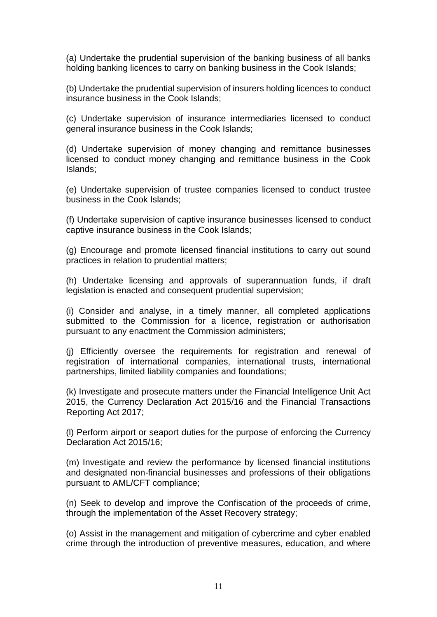(a) Undertake the prudential supervision of the banking business of all banks holding banking licences to carry on banking business in the Cook Islands;

(b) Undertake the prudential supervision of insurers holding licences to conduct insurance business in the Cook Islands;

(c) Undertake supervision of insurance intermediaries licensed to conduct general insurance business in the Cook Islands;

(d) Undertake supervision of money changing and remittance businesses licensed to conduct money changing and remittance business in the Cook Islands;

(e) Undertake supervision of trustee companies licensed to conduct trustee business in the Cook Islands;

(f) Undertake supervision of captive insurance businesses licensed to conduct captive insurance business in the Cook Islands;

(g) Encourage and promote licensed financial institutions to carry out sound practices in relation to prudential matters;

(h) Undertake licensing and approvals of superannuation funds, if draft legislation is enacted and consequent prudential supervision;

(i) Consider and analyse, in a timely manner, all completed applications submitted to the Commission for a licence, registration or authorisation pursuant to any enactment the Commission administers;

(j) Efficiently oversee the requirements for registration and renewal of registration of international companies, international trusts, international partnerships, limited liability companies and foundations;

(k) Investigate and prosecute matters under the Financial Intelligence Unit Act 2015, the Currency Declaration Act 2015/16 and the Financial Transactions Reporting Act 2017;

(l) Perform airport or seaport duties for the purpose of enforcing the Currency Declaration Act 2015/16;

(m) Investigate and review the performance by licensed financial institutions and designated non-financial businesses and professions of their obligations pursuant to AML/CFT compliance;

(n) Seek to develop and improve the Confiscation of the proceeds of crime, through the implementation of the Asset Recovery strategy;

(o) Assist in the management and mitigation of cybercrime and cyber enabled crime through the introduction of preventive measures, education, and where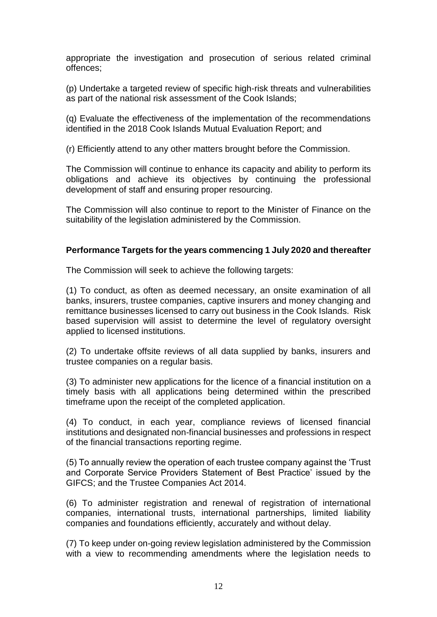appropriate the investigation and prosecution of serious related criminal offences;

(p) Undertake a targeted review of specific high-risk threats and vulnerabilities as part of the national risk assessment of the Cook Islands;

(q) Evaluate the effectiveness of the implementation of the recommendations identified in the 2018 Cook Islands Mutual Evaluation Report; and

(r) Efficiently attend to any other matters brought before the Commission.

The Commission will continue to enhance its capacity and ability to perform its obligations and achieve its objectives by continuing the professional development of staff and ensuring proper resourcing.

The Commission will also continue to report to the Minister of Finance on the suitability of the legislation administered by the Commission.

#### **Performance Targets for the years commencing 1 July 2020 and thereafter**

The Commission will seek to achieve the following targets:

(1) To conduct, as often as deemed necessary, an onsite examination of all banks, insurers, trustee companies, captive insurers and money changing and remittance businesses licensed to carry out business in the Cook Islands. Risk based supervision will assist to determine the level of regulatory oversight applied to licensed institutions.

(2) To undertake offsite reviews of all data supplied by banks, insurers and trustee companies on a regular basis.

(3) To administer new applications for the licence of a financial institution on a timely basis with all applications being determined within the prescribed timeframe upon the receipt of the completed application.

(4) To conduct, in each year, compliance reviews of licensed financial institutions and designated non-financial businesses and professions in respect of the financial transactions reporting regime.

(5) To annually review the operation of each trustee company against the 'Trust and Corporate Service Providers Statement of Best Practice' issued by the GIFCS; and the Trustee Companies Act 2014.

(6) To administer registration and renewal of registration of international companies, international trusts, international partnerships, limited liability companies and foundations efficiently, accurately and without delay.

(7) To keep under on-going review legislation administered by the Commission with a view to recommending amendments where the legislation needs to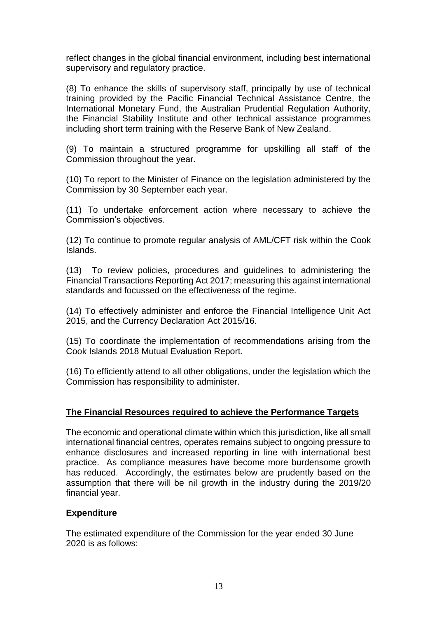reflect changes in the global financial environment, including best international supervisory and regulatory practice.

(8) To enhance the skills of supervisory staff, principally by use of technical training provided by the Pacific Financial Technical Assistance Centre, the International Monetary Fund, the Australian Prudential Regulation Authority, the Financial Stability Institute and other technical assistance programmes including short term training with the Reserve Bank of New Zealand.

(9) To maintain a structured programme for upskilling all staff of the Commission throughout the year.

(10) To report to the Minister of Finance on the legislation administered by the Commission by 30 September each year.

(11) To undertake enforcement action where necessary to achieve the Commission's objectives.

(12) To continue to promote regular analysis of AML/CFT risk within the Cook Islands.

(13) To review policies, procedures and guidelines to administering the Financial Transactions Reporting Act 2017; measuring this against international standards and focussed on the effectiveness of the regime.

(14) To effectively administer and enforce the Financial Intelligence Unit Act 2015, and the Currency Declaration Act 2015/16.

(15) To coordinate the implementation of recommendations arising from the Cook Islands 2018 Mutual Evaluation Report.

(16) To efficiently attend to all other obligations, under the legislation which the Commission has responsibility to administer.

#### **The Financial Resources required to achieve the Performance Targets**

The economic and operational climate within which this jurisdiction, like all small international financial centres, operates remains subject to ongoing pressure to enhance disclosures and increased reporting in line with international best practice. As compliance measures have become more burdensome growth has reduced. Accordingly, the estimates below are prudently based on the assumption that there will be nil growth in the industry during the 2019/20 financial year.

#### **Expenditure**

The estimated expenditure of the Commission for the year ended 30 June 2020 is as follows: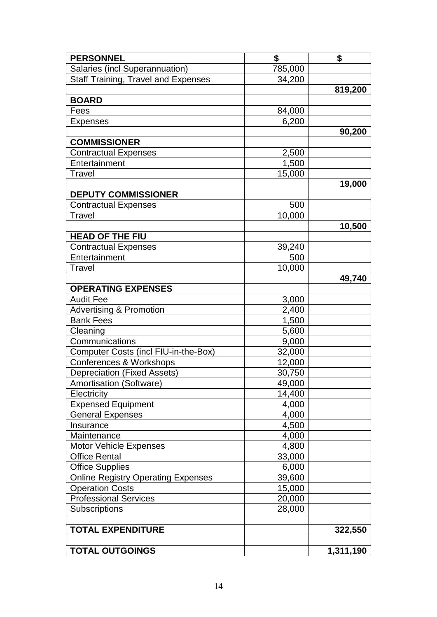| <b>PERSONNEL</b>                           | \$      | \$        |
|--------------------------------------------|---------|-----------|
| Salaries (incl Superannuation)             | 785,000 |           |
| <b>Staff Training, Travel and Expenses</b> | 34,200  |           |
|                                            |         | 819,200   |
| <b>BOARD</b>                               |         |           |
| Fees                                       | 84,000  |           |
| <b>Expenses</b>                            | 6,200   |           |
|                                            |         | 90,200    |
| <b>COMMISSIONER</b>                        |         |           |
| <b>Contractual Expenses</b>                | 2,500   |           |
| Entertainment                              | 1,500   |           |
| <b>Travel</b>                              | 15,000  |           |
|                                            |         | 19,000    |
| <b>DEPUTY COMMISSIONER</b>                 |         |           |
| <b>Contractual Expenses</b>                | 500     |           |
| Travel                                     | 10,000  |           |
|                                            |         | 10,500    |
| <b>HEAD OF THE FIU</b>                     |         |           |
| <b>Contractual Expenses</b>                | 39,240  |           |
| Entertainment                              | 500     |           |
| <b>Travel</b>                              | 10,000  |           |
|                                            |         | 49,740    |
| <b>OPERATING EXPENSES</b>                  |         |           |
| <b>Audit Fee</b>                           | 3,000   |           |
| <b>Advertising &amp; Promotion</b>         | 2,400   |           |
| <b>Bank Fees</b>                           | 1,500   |           |
| Cleaning                                   | 5,600   |           |
| Communications                             | 9,000   |           |
| Computer Costs (incl FIU-in-the-Box)       | 32,000  |           |
| <b>Conferences &amp; Workshops</b>         | 12,000  |           |
| <b>Depreciation (Fixed Assets)</b>         | 30,750  |           |
| Amortisation (Software)                    | 49,000  |           |
| Electricity                                | 14,400  |           |
| <b>Expensed Equipment</b>                  | 4,000   |           |
| <b>General Expenses</b>                    | 4,000   |           |
| Insurance                                  | 4,500   |           |
| Maintenance                                | 4,000   |           |
| <b>Motor Vehicle Expenses</b>              | 4,800   |           |
| <b>Office Rental</b>                       | 33,000  |           |
| <b>Office Supplies</b>                     | 6,000   |           |
| <b>Online Registry Operating Expenses</b>  | 39,600  |           |
| <b>Operation Costs</b>                     | 15,000  |           |
| <b>Professional Services</b>               | 20,000  |           |
| <b>Subscriptions</b>                       | 28,000  |           |
|                                            |         |           |
| <b>TOTAL EXPENDITURE</b>                   |         | 322,550   |
|                                            |         |           |
| <b>TOTAL OUTGOINGS</b>                     |         | 1,311,190 |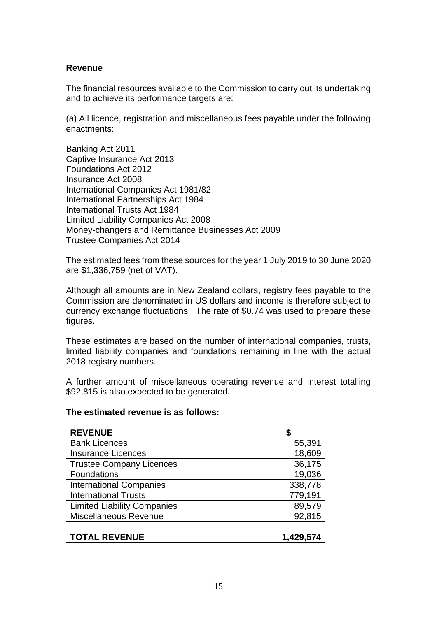#### **Revenue**

The financial resources available to the Commission to carry out its undertaking and to achieve its performance targets are:

(a) All licence, registration and miscellaneous fees payable under the following enactments:

Banking Act 2011 Captive Insurance Act 2013 Foundations Act 2012 Insurance Act 2008 International Companies Act 1981/82 International Partnerships Act 1984 International Trusts Act 1984 Limited Liability Companies Act 2008 Money-changers and Remittance Businesses Act 2009 Trustee Companies Act 2014

The estimated fees from these sources for the year 1 July 2019 to 30 June 2020 are \$1,336,759 (net of VAT).

Although all amounts are in New Zealand dollars, registry fees payable to the Commission are denominated in US dollars and income is therefore subject to currency exchange fluctuations. The rate of \$0.74 was used to prepare these figures.

These estimates are based on the number of international companies, trusts, limited liability companies and foundations remaining in line with the actual 2018 registry numbers.

A further amount of miscellaneous operating revenue and interest totalling \$92,815 is also expected to be generated.

#### **The estimated revenue is as follows:**

| <b>REVENUE</b>                     |         |
|------------------------------------|---------|
| <b>Bank Licences</b>               | 55,391  |
| <b>Insurance Licences</b>          | 18,609  |
| <b>Trustee Company Licences</b>    | 36,175  |
| Foundations                        | 19,036  |
| <b>International Companies</b>     | 338,778 |
| <b>International Trusts</b>        | 779,191 |
| <b>Limited Liability Companies</b> | 89,579  |
| <b>Miscellaneous Revenue</b>       | 92,815  |
|                                    |         |
| <b>TOTAL REVENUE</b>               | 1,429,5 |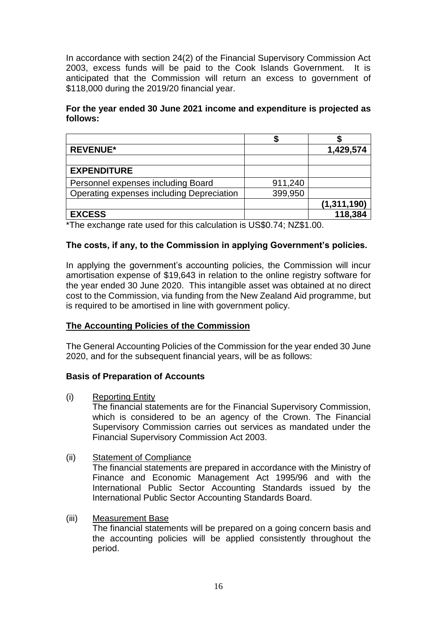In accordance with section 24(2) of the Financial Supervisory Commission Act 2003, excess funds will be paid to the Cook Islands Government. It is anticipated that the Commission will return an excess to government of \$118,000 during the 2019/20 financial year.

## **For the year ended 30 June 2021 income and expenditure is projected as follows:**

| <b>REVENUE*</b>                           |         | 1,429,574     |
|-------------------------------------------|---------|---------------|
|                                           |         |               |
| <b>EXPENDITURE</b>                        |         |               |
| Personnel expenses including Board        | 911,240 |               |
| Operating expenses including Depreciation | 399,950 |               |
|                                           |         | (1, 311, 190) |
| <b>EXCESS</b>                             |         | 118,384       |

\*The exchange rate used for this calculation is US\$0.74; NZ\$1.00.

## **The costs, if any, to the Commission in applying Government's policies.**

In applying the government's accounting policies, the Commission will incur amortisation expense of \$19,643 in relation to the online registry software for the year ended 30 June 2020. This intangible asset was obtained at no direct cost to the Commission, via funding from the New Zealand Aid programme, but is required to be amortised in line with government policy.

# **The Accounting Policies of the Commission**

The General Accounting Policies of the Commission for the year ended 30 June 2020, and for the subsequent financial years, will be as follows:

#### **Basis of Preparation of Accounts**

(i) Reporting Entity

The financial statements are for the Financial Supervisory Commission, which is considered to be an agency of the Crown. The Financial Supervisory Commission carries out services as mandated under the Financial Supervisory Commission Act 2003.

(ii) Statement of Compliance The financial statements are prepared in accordance with the Ministry of Finance and Economic Management Act 1995/96 and with the International Public Sector Accounting Standards issued by the International Public Sector Accounting Standards Board.

#### (iii) Measurement Base

The financial statements will be prepared on a going concern basis and the accounting policies will be applied consistently throughout the period.